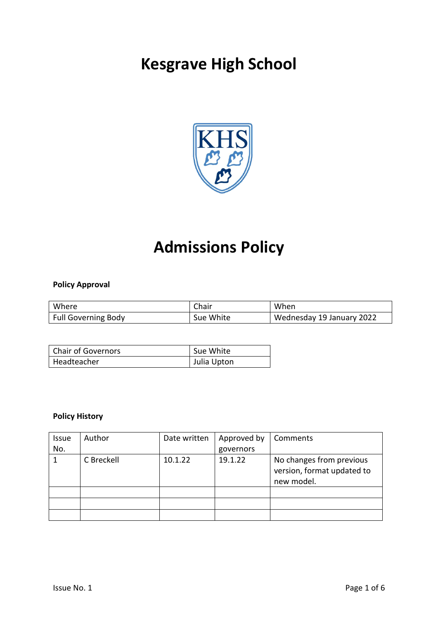# **Kesgrave High School**



## **Admissions Policy**

## **Policy Approval**

| Where                      | Chair     | When                      |
|----------------------------|-----------|---------------------------|
| <b>Full Governing Body</b> | Sue White | Wednesday 19 January 2022 |

| <b>Chair of Governors</b> | Sue White   |
|---------------------------|-------------|
| Headteacher               | Julia Upton |

## **Policy History**

| <b>Issue</b> | Author     | Date written | Approved by | Comments                                                             |
|--------------|------------|--------------|-------------|----------------------------------------------------------------------|
| No.          |            |              | governors   |                                                                      |
|              | C Breckell | 10.1.22      | 19.1.22     | No changes from previous<br>version, format updated to<br>new model. |
|              |            |              |             |                                                                      |
|              |            |              |             |                                                                      |
|              |            |              |             |                                                                      |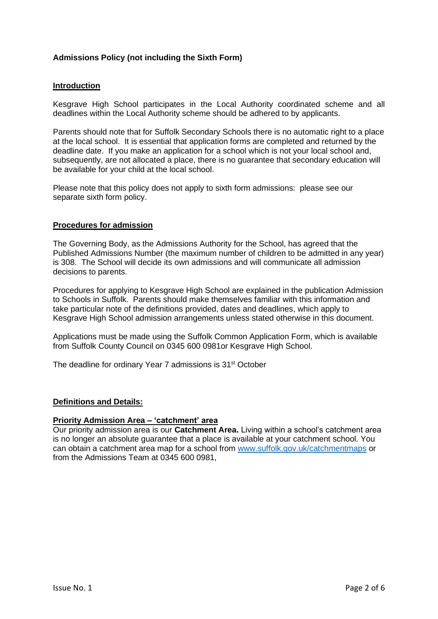## **Admissions Policy (not including the Sixth Form)**

### **Introduction**

Kesgrave High School participates in the Local Authority coordinated scheme and all deadlines within the Local Authority scheme should be adhered to by applicants.

Parents should note that for Suffolk Secondary Schools there is no automatic right to a place at the local school. It is essential that application forms are completed and returned by the deadline date. If you make an application for a school which is not your local school and, subsequently, are not allocated a place, there is no guarantee that secondary education will be available for your child at the local school.

Please note that this policy does not apply to sixth form admissions: please see our separate sixth form policy.

### **Procedures for admission**

The Governing Body, as the Admissions Authority for the School, has agreed that the Published Admissions Number (the maximum number of children to be admitted in any year) is 308. The School will decide its own admissions and will communicate all admission decisions to parents.

Procedures for applying to Kesgrave High School are explained in the publication Admission to Schools in Suffolk. Parents should make themselves familiar with this information and take particular note of the definitions provided, dates and deadlines, which apply to Kesgrave High School admission arrangements unless stated otherwise in this document.

Applications must be made using the Suffolk Common Application Form, which is available from Suffolk County Council on 0345 600 0981or Kesgrave High School.

The deadline for ordinary Year 7 admissions is 31<sup>st</sup> October

## **Definitions and Details:**

#### **Priority Admission Area – 'catchment' area**

Our priority admission area is our **Catchment Area.** Living within a school's catchment area is no longer an absolute guarantee that a place is available at your catchment school. You can obtain a catchment area map for a school from [www.suffolk.gov.uk/catchmentmaps](http://www.suffolk.gov.uk/catchmentmaps) or from the Admissions Team at 0345 600 0981,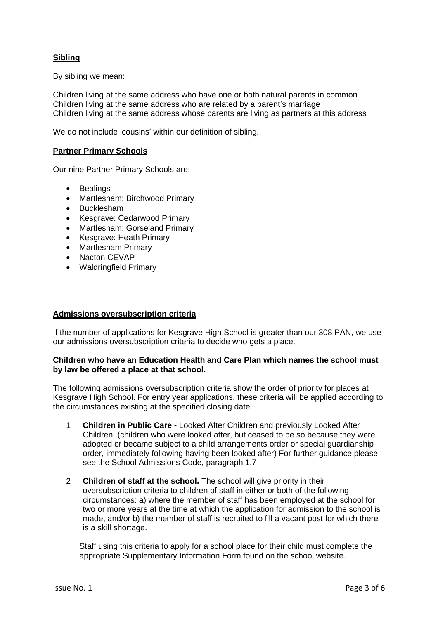## **Sibling**

By sibling we mean:

Children living at the same address who have one or both natural parents in common Children living at the same address who are related by a parent's marriage Children living at the same address whose parents are living as partners at this address

We do not include 'cousins' within our definition of sibling.

## **Partner Primary Schools**

Our nine Partner Primary Schools are:

- Bealings
- Martlesham: Birchwood Primary
- Bucklesham
- Kesgrave: Cedarwood Primary
- Martlesham: Gorseland Primary
- Kesgrave: Heath Primary
- Martlesham Primary
- Nacton CEVAP
- Waldringfield Primary

#### **Admissions oversubscription criteria**

If the number of applications for Kesgrave High School is greater than our 308 PAN, we use our admissions oversubscription criteria to decide who gets a place.

### **Children who have an Education Health and Care Plan which names the school must by law be offered a place at that school.**

The following admissions oversubscription criteria show the order of priority for places at Kesgrave High School. For entry year applications, these criteria will be applied according to the circumstances existing at the specified closing date.

- 1 **Children in Public Care**  Looked After Children and previously Looked After Children, (children who were looked after, but ceased to be so because they were adopted or became subject to a child arrangements order or special guardianship order, immediately following having been looked after) For further guidance please see the School Admissions Code, paragraph 1.7
- 2 **Children of staff at the school.** The school will give priority in their oversubscription criteria to children of staff in either or both of the following circumstances: a) where the member of staff has been employed at the school for two or more years at the time at which the application for admission to the school is made, and/or b) the member of staff is recruited to fill a vacant post for which there is a skill shortage.

Staff using this criteria to apply for a school place for their child must complete the appropriate Supplementary Information Form found on the school website.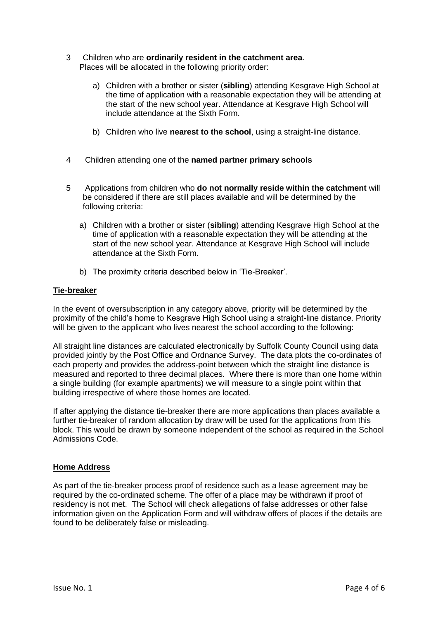- 3 Children who are **ordinarily resident in the catchment area**. Places will be allocated in the following priority order:
	- a) Children with a brother or sister (**sibling**) attending Kesgrave High School at the time of application with a reasonable expectation they will be attending at the start of the new school year. Attendance at Kesgrave High School will include attendance at the Sixth Form.
	- b) Children who live **nearest to the school**, using a straight-line distance.
- 4 Children attending one of the **named partner primary schools**
- 5 Applications from children who **do not normally reside within the catchment** will be considered if there are still places available and will be determined by the following criteria:
	- a) Children with a brother or sister (**sibling**) attending Kesgrave High School at the time of application with a reasonable expectation they will be attending at the start of the new school year. Attendance at Kesgrave High School will include attendance at the Sixth Form.
	- b) The proximity criteria described below in 'Tie-Breaker'.

### **Tie-breaker**

In the event of oversubscription in any category above, priority will be determined by the proximity of the child's home to Kesgrave High School using a straight-line distance. Priority will be given to the applicant who lives nearest the school according to the following:

All straight line distances are calculated electronically by Suffolk County Council using data provided jointly by the Post Office and Ordnance Survey. The data plots the co-ordinates of each property and provides the address-point between which the straight line distance is measured and reported to three decimal places. Where there is more than one home within a single building (for example apartments) we will measure to a single point within that building irrespective of where those homes are located.

If after applying the distance tie-breaker there are more applications than places available a further tie-breaker of random allocation by draw will be used for the applications from this block. This would be drawn by someone independent of the school as required in the School Admissions Code.

## **Home Address**

As part of the tie-breaker process proof of residence such as a lease agreement may be required by the co-ordinated scheme. The offer of a place may be withdrawn if proof of residency is not met. The School will check allegations of false addresses or other false information given on the Application Form and will withdraw offers of places if the details are found to be deliberately false or misleading.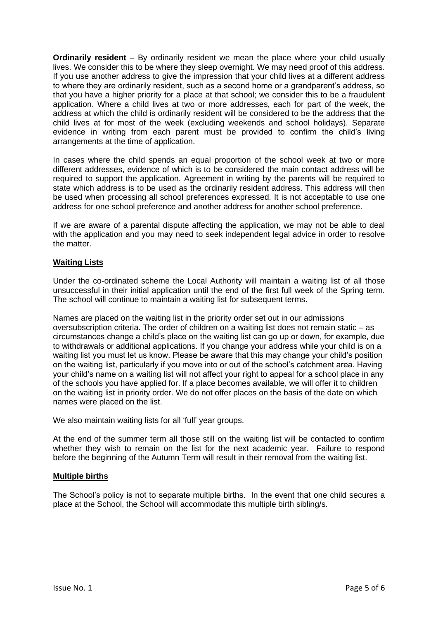**Ordinarily resident** – By ordinarily resident we mean the place where your child usually lives. We consider this to be where they sleep overnight. We may need proof of this address. If you use another address to give the impression that your child lives at a different address to where they are ordinarily resident, such as a second home or a grandparent's address, so that you have a higher priority for a place at that school; we consider this to be a fraudulent application. Where a child lives at two or more addresses, each for part of the week, the address at which the child is ordinarily resident will be considered to be the address that the child lives at for most of the week (excluding weekends and school holidays). Separate evidence in writing from each parent must be provided to confirm the child's living arrangements at the time of application.

In cases where the child spends an equal proportion of the school week at two or more different addresses, evidence of which is to be considered the main contact address will be required to support the application. Agreement in writing by the parents will be required to state which address is to be used as the ordinarily resident address. This address will then be used when processing all school preferences expressed. It is not acceptable to use one address for one school preference and another address for another school preference.

If we are aware of a parental dispute affecting the application, we may not be able to deal with the application and you may need to seek independent legal advice in order to resolve the matter.

## **Waiting Lists**

Under the co-ordinated scheme the Local Authority will maintain a waiting list of all those unsuccessful in their initial application until the end of the first full week of the Spring term. The school will continue to maintain a waiting list for subsequent terms.

Names are placed on the waiting list in the priority order set out in our admissions oversubscription criteria. The order of children on a waiting list does not remain static – as circumstances change a child's place on the waiting list can go up or down, for example, due to withdrawals or additional applications. If you change your address while your child is on a waiting list you must let us know. Please be aware that this may change your child's position on the waiting list, particularly if you move into or out of the school's catchment area. Having your child's name on a waiting list will not affect your right to appeal for a school place in any of the schools you have applied for. If a place becomes available, we will offer it to children on the waiting list in priority order. We do not offer places on the basis of the date on which names were placed on the list.

We also maintain waiting lists for all 'full' year groups.

At the end of the summer term all those still on the waiting list will be contacted to confirm whether they wish to remain on the list for the next academic year. Failure to respond before the beginning of the Autumn Term will result in their removal from the waiting list.

#### **Multiple births**

The School's policy is not to separate multiple births. In the event that one child secures a place at the School, the School will accommodate this multiple birth sibling/s.